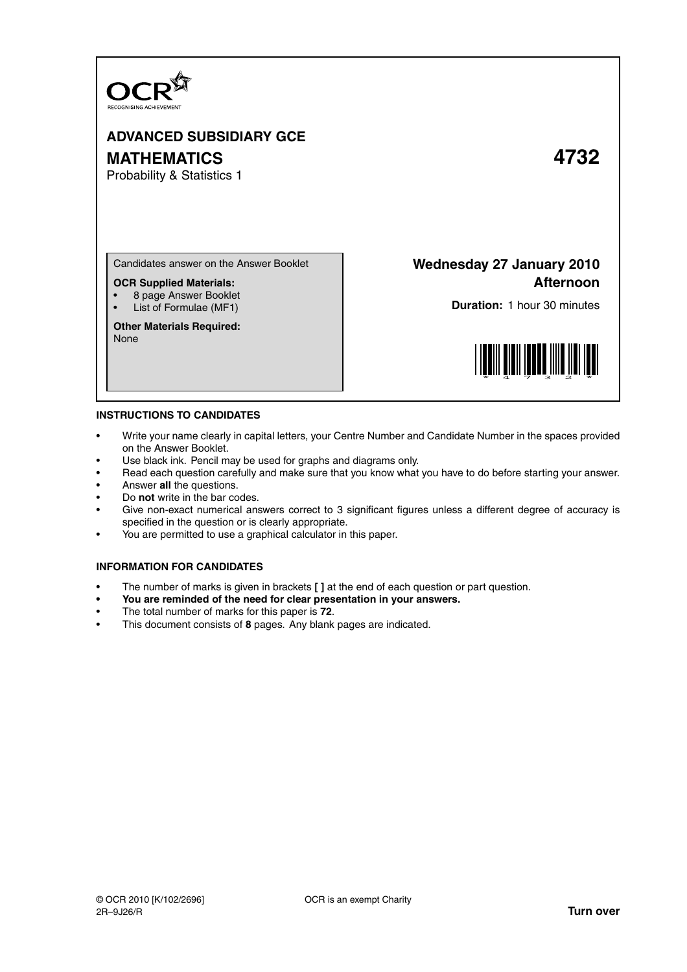

# **ADVANCED SUBSIDIARY GCE**

## **MATHEMATICS 4732**

Probability & Statistics 1

Candidates answer on the Answer Booklet

#### **OCR Supplied Materials:**

- 8 page Answer Booklet
- List of Formulae (MF1)

**Other Materials Required:** None

**Wednesday 27 January 2010 Afternoon**

**Duration:** 1 hour 30 minutes



## **INSTRUCTIONS TO CANDIDATES**

- Write your name clearly in capital letters, your Centre Number and Candidate Number in the spaces provided on the Answer Booklet.
- Use black ink. Pencil may be used for graphs and diagrams only.
- Read each question carefully and make sure that you know what you have to do before starting your answer.
- Answer **all** the questions.
- Do **not** write in the bar codes.
- Give non-exact numerical answers correct to 3 significant figures unless a different degree of accuracy is specified in the question or is clearly appropriate.
- You are permitted to use a graphical calculator in this paper.

## **INFORMATION FOR CANDIDATES**

- The number of marks is given in brackets **[ ]** at the end of each question or part question.
- **You are reminded of the need for clear presentation in your answers.**
- The total number of marks for this paper is **72**.
- This document consists of **8** pages. Any blank pages are indicated.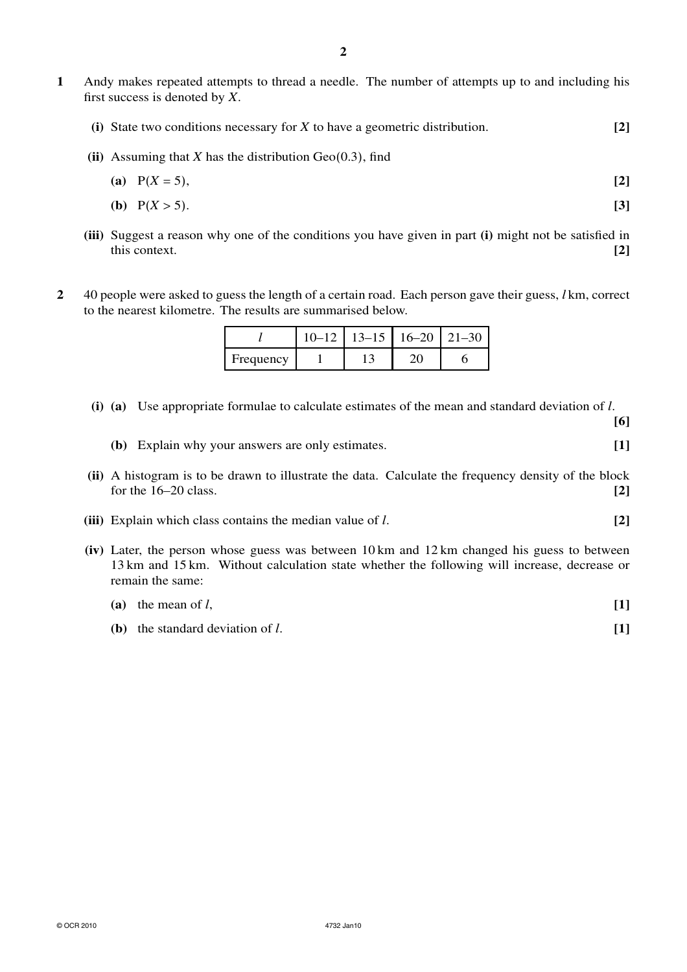- **1** Andy makes repeated attempts to thread a needle. The number of attempts up to and including his first success is denoted by *X*.
	- **(i)** State two conditions necessary for *X* to have a geometric distribution. **[2]**
	- **(ii)** Assuming that *X* has the distribution  $Geo(0.3)$ , find
		- **(a)** P(*X* = 5), **[2]**
		- **(b)**  $P(X > 5)$ . **[3]**
	- **(iii)** Suggest a reason why one of the conditions you have given in part **(i)** might not be satisfied in this context. **[2]**
- **2** 40 people were asked to guess the length of a certain road. Each person gave their guess, *l* km, correct to the nearest kilometre. The results are summarised below.

|           |  | $10-12$   $13-15$   $16-20$   $21-30$ |  |
|-----------|--|---------------------------------------|--|
| Frequency |  |                                       |  |

- **(i) (a)** Use appropriate formulae to calculate estimates of the mean and standard deviation of *l*.
	- **(b)** Explain why your answers are only estimates. **[1]**

**[6]**

- **(ii)** A histogram is to be drawn to illustrate the data. Calculate the frequency density of the block for the 16–20 class. **[2]**
- **(iii)** Explain which class contains the median value of *l*. **[2]**
- **(iv)** Later, the person whose guess was between 10 km and 12 km changed his guess to between 13 km and 15 km. Without calculation state whether the following will increase, decrease or remain the same:
	- **(a)** the mean of *l*, **[1]**
	- **(b)** the standard deviation of *l*. **[1]**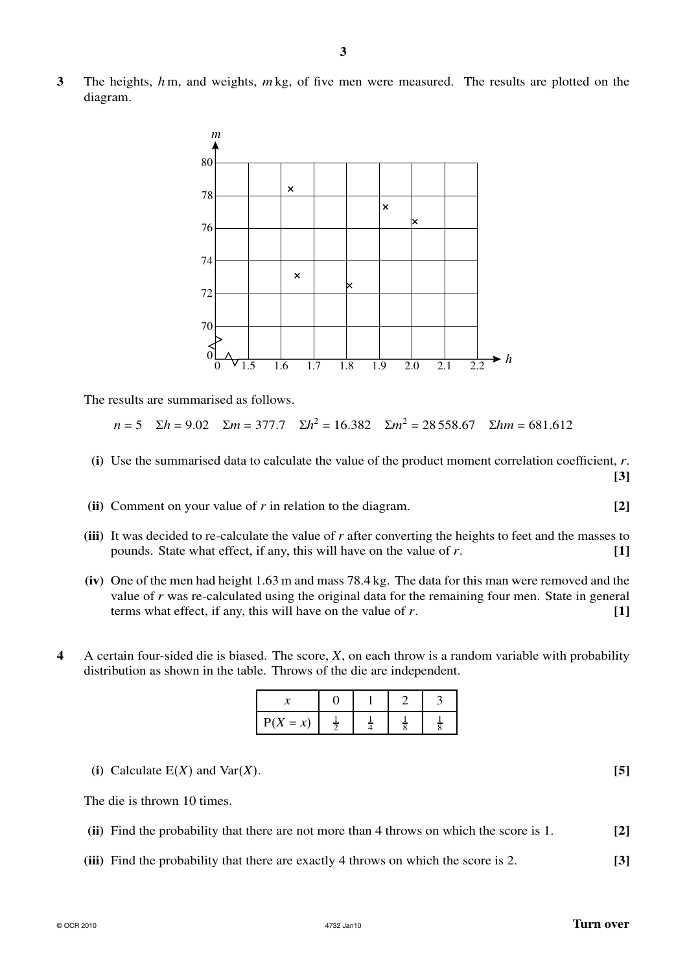**3** The heights, *h* m, and weights, *m* kg, of five men were measured. The results are plotted on the diagram.



The results are summarised as follows.

$$
n = 5 \quad \Sigma h = 9.02 \quad \Sigma m = 377.7 \quad \Sigma h^2 = 16.382 \quad \Sigma m^2 = 28.558.67 \quad \Sigma hm = 681.612
$$

- **(i)** Use the summarised data to calculate the value of the product moment correlation coefficient, *r*. **[3]**
- **(ii)** Comment on your value of *r* in relation to the diagram. **[2]**
- **(iii)** It was decided to re-calculate the value of *r* after converting the heights to feet and the masses to pounds. State what effect, if any, this will have on the value of *r*. **[1]**
- **(iv)** One of the men had height 1.63 m and mass 78.4 kg. The data for this man were removed and the value of *r* was re-calculated using the original data for the remaining four men. State in general terms what effect, if any, this will have on the value of *r*. **[1]**
- **4** A certain four-sided die is biased. The score, *X*, on each throw is a random variable with probability distribution as shown in the table. Throws of the die are independent.

| $P(X = x)$ |  |  |
|------------|--|--|

**(i)** Calculate E(*X*) and Var(*X*). **[5]**

The die is thrown 10 times.

- **(ii)** Find the probability that there are not more than 4 throws on which the score is 1. **[2]**
- **(iii)** Find the probability that there are exactly 4 throws on which the score is 2. **[3]**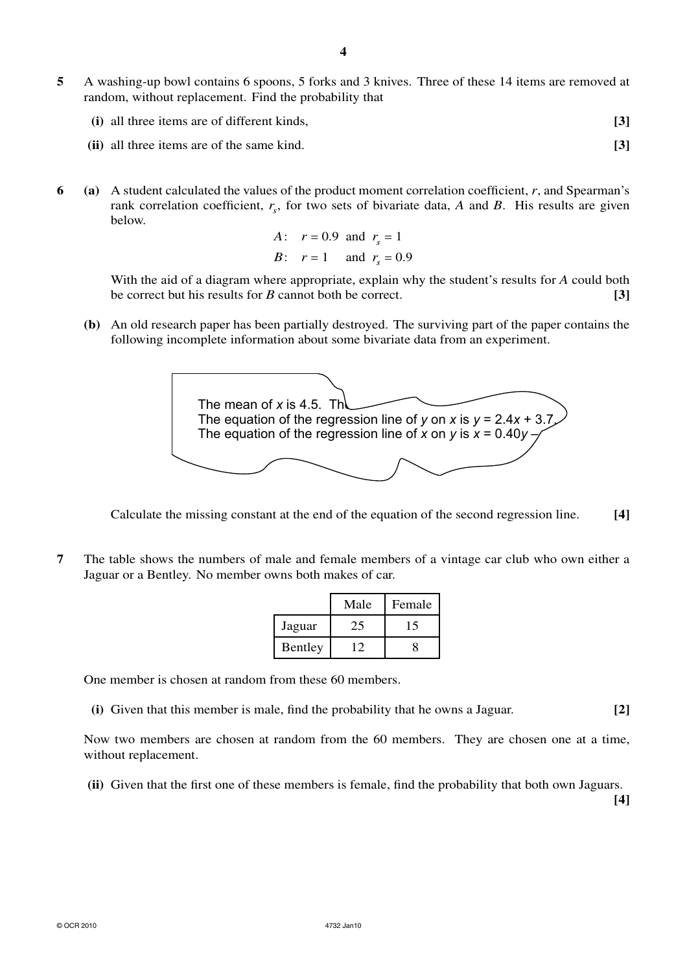- **5** A washing-up bowl contains 6 spoons, 5 forks and 3 knives. Three of these 14 items are removed at random, without replacement. Find the probability that
	- **(i)** all three items are of different kinds, **[3]**
	- **(ii)** all three items are of the same kind. **[3]**
- **6 (a)** A student calculated the values of the product moment correlation coefficient, *r*, and Spearman's rank correlation coefficient,  $r<sub>s</sub>$ , for two sets of bivariate data, *A* and *B*. His results are given below.

A: 
$$
r = 0.9
$$
 and  $r_s = 1$   
B:  $r = 1$  and  $r_s = 0.9$ 

With the aid of a diagram where appropriate, explain why the student's results for *A* could both be correct but his results for *B* cannot both be correct. **[3]**

**(b)** An old research paper has been partially destroyed. The surviving part of the paper contains the following incomplete information about some bivariate data from an experiment.



Calculate the missing constant at the end of the equation of the second regression line. **[4]**

**7** The table shows the numbers of male and female members of a vintage car club who own either a Jaguar or a Bentley. No member owns both makes of car.

|         | Male | Female |
|---------|------|--------|
| Jaguar  | -25  |        |
| Bentley |      |        |

One member is chosen at random from these 60 members.

**(i)** Given that this member is male, find the probability that he owns a Jaguar. **[2]**

Now two members are chosen at random from the 60 members. They are chosen one at a time, without replacement.

**(ii)** Given that the first one of these members is female, find the probability that both own Jaguars.

**[4]**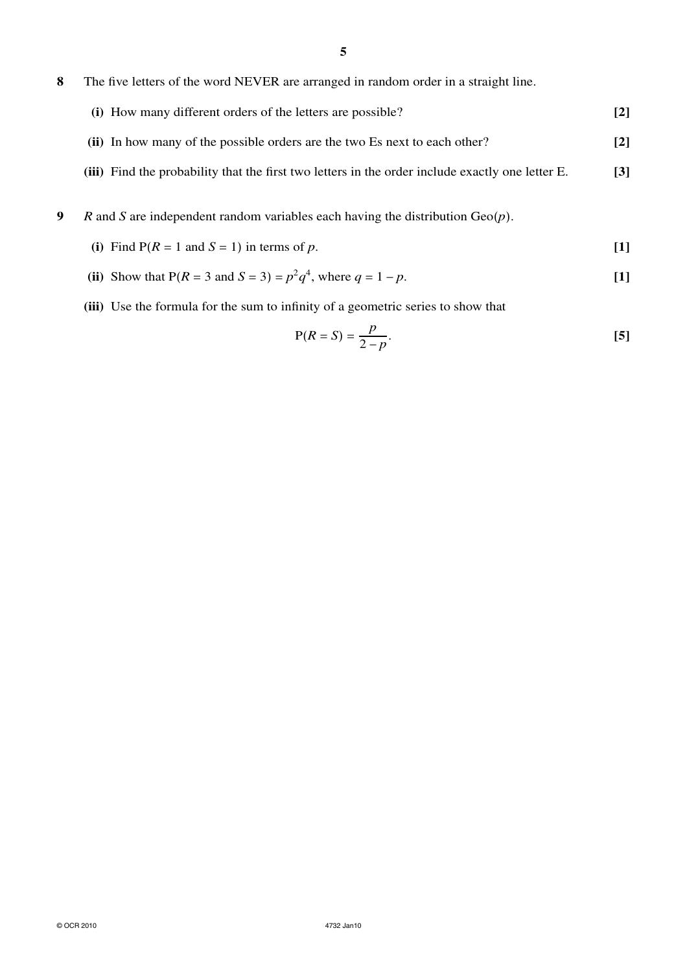**8** The five letters of the word NEVER are arranged in random order in a straight line.

| (i) How many different orders of the letters are possible? |  |
|------------------------------------------------------------|--|
|                                                            |  |

- **(ii)** In how many of the possible orders are the two Es next to each other? **[2]**
- **(iii)** Find the probability that the first two letters in the order include exactly one letter E. **[3]**
- **9** *R* and *S* are independent random variables each having the distribution Geo(*p*).
	- (i) Find  $P(R = 1 \text{ and } S = 1)$  in terms of *p*. [1]
	- (ii) Show that  $P(R = 3 \text{ and } S = 3) = p^2 q^4$ , where  $q = 1 p$ . [1]
	- **(iii)** Use the formula for the sum to infinity of a geometric series to show that

$$
P(R = S) = \frac{p}{2 - p}.\tag{5}
$$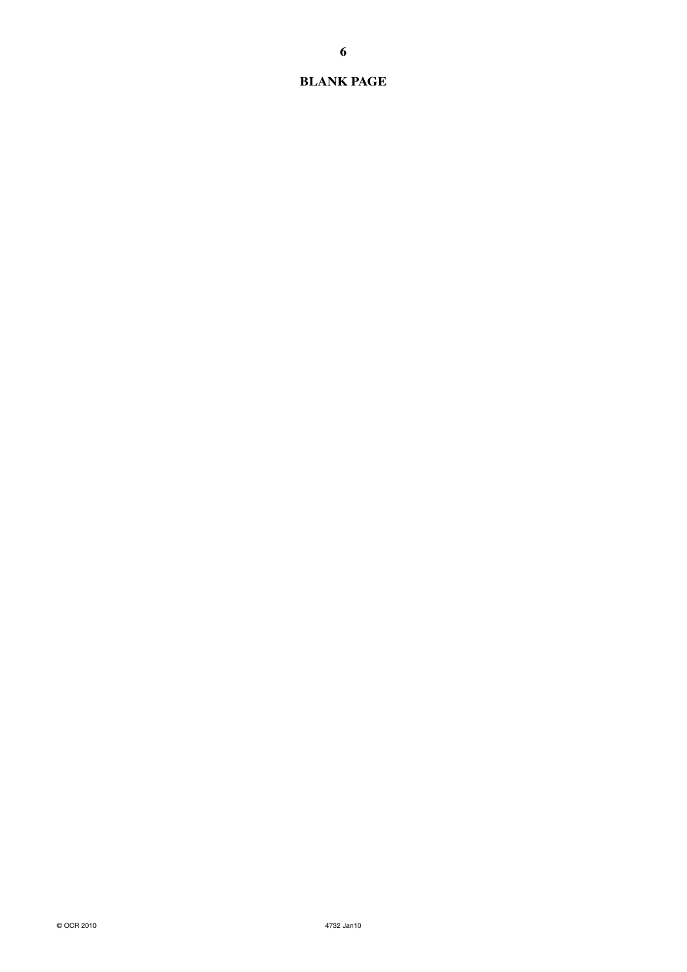## **BLANK PAGE**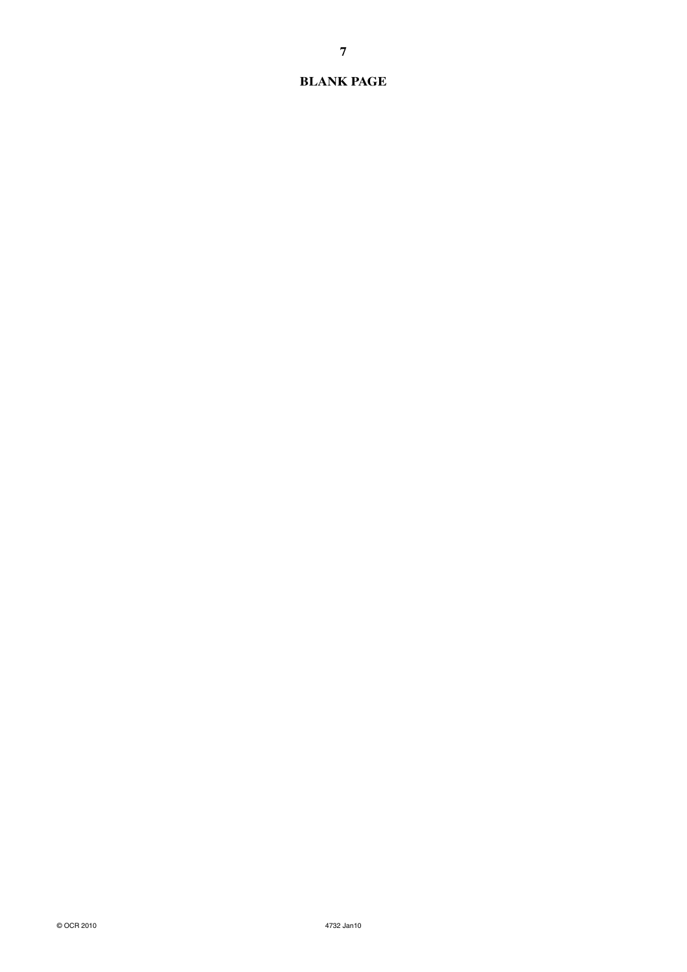## **BLANK PAGE**